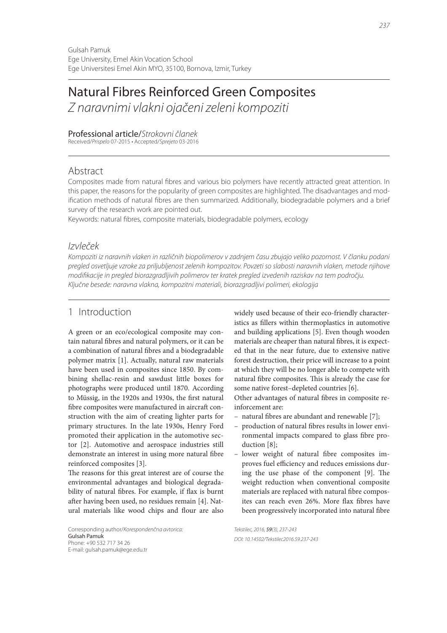# Natural Fibres Reinforced Green Composites

*Z naravnimi vlakni ojačeni zeleni kompoziti*

### Professional article/*Strokovni članek*

Received/*Prispelo* 07-2015 • Accepted/*Sprejeto* 03-2016

# Abstract

Composites made from natural fibres and various bio polymers have recently attracted great attention. In this paper, the reasons for the popularity of green composites are highlighted. The disadvantages and modification methods of natural fibres are then summarized. Additionally, biodegradable polymers and a brief survey of the research work are pointed out.

Keywords: natural fibres, composite materials, biodegradable polymers, ecology

## *Izvleček*

*Kompoziti iz naravnih vlaken in različnih biopolimerov v zadnjem času zbujajo veliko pozornost. V članku podani pregled osvetljuje vzroke za priljubljenost zelenih kompozitov. Povzeti so slabosti naravnih vlaken, metode njihove modifi kacije in pregled biorazgradljivih polimerov ter kratek pregled izvedenih raziskav na tem področju. Ključne besede: naravna vlakna, kompozitni materiali, biorazgradljivi polimeri, ekologija*

# 1 Introduction

A green or an eco/ecological composite may contain natural fibres and natural polymers, or it can be a combination of natural fibres and a biodegradable polymer matrix [1]. Actually, natural raw materials have been used in composites since 1850. By combining shellac-resin and sawdust little boxes for photographs were produced until 1870. According to Müssig, in the 1920s and 1930s, the first natural fibre composites were manufactured in aircraft construction with the aim of creating lighter parts for primary structures. In the late 1930s, Henry Ford promoted their application in the automotive sector [2]. Automotive and aerospace industries still demonstrate an interest in using more natural fibre reinforced composites [3].

The reasons for this great interest are of course the environmental advantages and biological degradability of natural fibres. For example, if flax is burnt after having been used, no residues remain [4]. Natural materials like wood chips and flour are also

Corresponding author/*Korespondenčna avtorica:* Gulsah Pamuk Phone: +90 532 717 34 26 E-mail: gulsah.pamuk@ege.edu.tr

widely used because of their eco-friendly characteristics as fillers within thermoplastics in automotive and building applications [5]. Even though wooden materials are cheaper than natural fibres, it is expected that in the near future, due to extensive native forest destruction, their price will increase to a point at which they will be no longer able to compete with natural fibre composites. This is already the case for some native forest–depleted countries [6].

Other advantages of natural fibres in composite reinforcement are:

- natural fibres are abundant and renewable [7];
- production of natural fibres results in lower environmental impacts compared to glass fibre production [8];
- lower weight of natural fibre composites improves fuel efficiency and reduces emissions during the use phase of the component  $[9]$ . The weight reduction when conventional composite materials are replaced with natural fibre composites can reach even 26%. More flax fibres have been progressively incorporated into natural fibre

*Tekstilec, 2016,* 59*(3), 237-243 DOI: 10.14502/Tekstilec2016.59.237-243*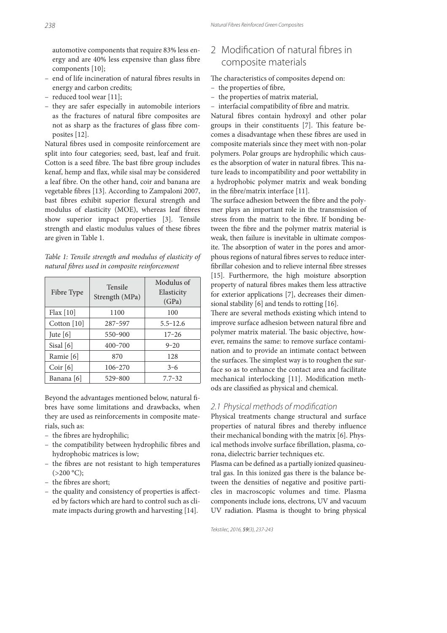automotive components that require 83% less energy and are 40% less expensive than glass fibre components [10];

- end of life incineration of natural fibres results in energy and carbon credits;
- reduced tool wear [11];
- they are safer especially in automobile interiors as the fractures of natural fibre composites are not as sharp as the fractures of glass fibre composites [12].

Natural fibres used in composite reinforcement are split into four categories; seed, bast, leaf and fruit. Cotton is a seed fibre. The bast fibre group includes kenaf, hemp and flax, while sisal may be considered a leaf fibre. On the other hand, coir and banana are vegetable fibres [13]. According to Zampaloni 2007, bast fibres exhibit superior flexural strength and modulus of elasticity (MOE), whereas leaf fibres show superior impact properties [3]. Tensile strength and elastic modulus values of these fibres are given in Table 1.

Table 1: Tensile strength and modulus of elasticity of natural fibres used in composite reinforcement

| Fibre Type  | <b>Tensile</b><br>Strength (MPa) | Modulus of<br>Elasticity<br>(GPa) |
|-------------|----------------------------------|-----------------------------------|
| Flax $[10]$ | 1100                             | 100                               |
| Cotton [10] | 287-597                          | $5.5 - 12.6$                      |
| Jute $[6]$  | $550 - 900$                      | $17 - 26$                         |
| Sisal $[6]$ | $400 - 700$                      | $9 - 20$                          |
| Ramie [6]   | 870                              | 128                               |
| Coir [6]    | 106-270                          | $3 - 6$                           |
| Banana [6]  | 529-800                          | $7.7 - 32$                        |

Beyond the advantages mentioned below, natural fibres have some limitations and drawbacks, when they are used as reinforcements in composite materials, such as:

- the fibres are hydrophilic;
- the compatibility between hydrophilic fibres and hydrophobic matrices is low;
- the fibres are not resistant to high temperatures  $(>200 °C);$
- the fibres are short;
- the quality and consistency of properties is affected by factors which are hard to control such as climate impacts during growth and harvesting [14].

# 2 Modification of natural fibres in composite materials

The characteristics of composites depend on:

- the properties of fibre,
- the properties of matrix material,
- interfacial compatibility of fibre and matrix.

Natural fibres contain hydroxyl and other polar groups in their constituents [7]. This feature becomes a disadvantage when these fibres are used in composite materials since they meet with non-polar polymers. Polar groups are hydrophilic which causes the absorption of water in natural fibres. This nature leads to incompatibility and poor wettability in a hydrophobic polymer matrix and weak bonding in the fibre/matrix interface  $[11]$ .

The surface adhesion between the fibre and the polymer plays an important role in the transmission of stress from the matrix to the fibre. If bonding between the fibre and the polymer matrix material is weak, then failure is inevitable in ultimate composite. The absorption of water in the pores and amorphous regions of natural fibres serves to reduce interfibrillar cohesion and to relieve internal fibre stresses [15]. Furthermore, the high moisture absorption property of natural fibres makes them less attractive for exterior applications [7], decreases their dimensional stability [6] and tends to rotting [16].

There are several methods existing which intend to improve surface adhesion between natural fibre and polymer matrix material. The basic objective, however, remains the same: to remove surface contamination and to provide an intimate contact between the surfaces. The simplest way is to roughen the surface so as to enhance the contact area and facilitate mechanical interlocking [11]. Modification methods are classified as physical and chemical.

### *2.1 Physical methods of modifi cation*

Physical treatments change structural and surface properties of natural fibres and thereby influence their mechanical bonding with the matrix [6]. Physical methods involve surface fibrillation, plasma, corona, dielectric barrier techniques etc.

Plasma can be defined as a partially ionized quasineutral gas. In this ionized gas there is the balance between the densities of negative and positive particles in macroscopic volumes and time. Plasma components include ions, electrons, UV and vacuum UV radiation. Plasma is thought to bring physical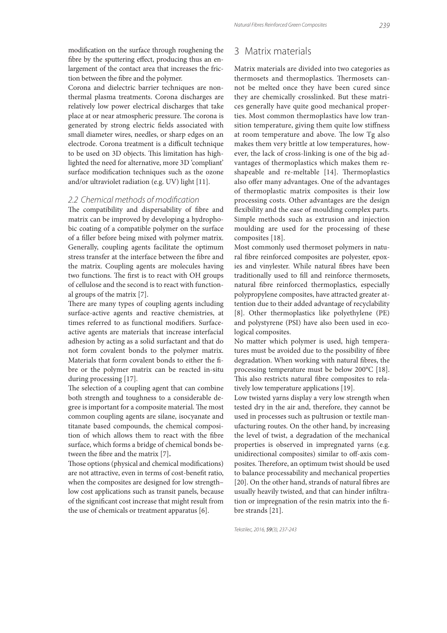modification on the surface through roughening the fibre by the sputtering effect, producing thus an enlargement of the contact area that increases the friction between the fibre and the polymer.

Corona and dielectric barrier techniques are nonthermal plasma treatments. Corona discharges are relatively low power electrical discharges that take place at or near atmospheric pressure. The corona is generated by strong electric fields associated with small diameter wires, needles, or sharp edges on an electrode. Corona treatment is a difficult technique to be used on 3D objects. This limitation has highlighted the need for alternative, more 3D 'compliant' surface modification techniques such as the ozone and/or ultraviolet radiation (e.g. UV) light [11].

#### *2.2 Chemical methods of modifi cation*

The compatibility and dispersability of fibre and matrix can be improved by developing a hydrophobic coating of a compatible polymer on the surface of a filler before being mixed with polymer matrix. Generally, coupling agents facilitate the optimum stress transfer at the interface between the fibre and the matrix. Coupling agents are molecules having two functions. The first is to react with OH groups of cellulose and the second is to react with functional groups of the matrix [7].

There are many types of coupling agents including surface-active agents and reactive chemistries, at times referred to as functional modifiers. Surfaceactive agents are materials that increase interfacial adhesion by acting as a solid surfactant and that do not form covalent bonds to the polymer matrix. Materials that form covalent bonds to either the fibre or the polymer matrix can be reacted in-situ during processing [17].

The selection of a coupling agent that can combine both strength and toughness to a considerable degree is important for a composite material. The most common coupling agents are silane, isocyanate and titanate based compounds, the chemical composition of which allows them to react with the fibre surface, which forms a bridge of chemical bonds between the fibre and the matrix [7].

Those options (physical and chemical modifications) are not attractive, even in terms of cost-benefit ratio, when the composites are designed for low strength– low cost applications such as transit panels, because of the significant cost increase that might result from the use of chemicals or treatment apparatus [6].

### 3 Matrix materials

Matrix materials are divided into two categories as thermosets and thermoplastics. Thermosets cannot be melted once they have been cured since they are chemically crosslinked. But these matrices generally have quite good mechanical properties. Most common thermoplastics have low transition temperature, giving them quite low stiffness at room temperature and above. The low Tg also makes them very brittle at low temperatures, however, the lack of cross-linking is one of the big advantages of thermoplastics which makes them reshapeable and re-meltable [14]. Thermoplastics also offer many advantages. One of the advantages of thermoplastic matrix composites is their low processing costs. Other advantages are the design flexibility and the ease of moulding complex parts. Simple methods such as extrusion and injection moulding are used for the processing of these composites [18].

Most commonly used thermoset polymers in natural fibre reinforced composites are polyester, epoxies and vinylester. While natural fibres have been traditionally used to fill and reinforce thermosets, natural fibre reinforced thermoplastics, especially polypropylene composites, have attracted greater attention due to their added advantage of recyclability [8]. Other thermoplastics like polyethylene (PE) and polystyrene (PSI) have also been used in ecological composites.

No matter which polymer is used, high temperatures must be avoided due to the possibility of fibre degradation. When working with natural fibres, the processing temperature must be below 200°C [18]. This also restricts natural fibre composites to relatively low temperature applications [19].

Low twisted yarns display a very low strength when tested dry in the air and, therefore, they cannot be used in processes such as pultrusion or textile manufacturing routes. On the other hand, by increasing the level of twist, a degradation of the mechanical properties is observed in impregnated yarns (e.g. unidirectional composites) similar to off-axis composites. Therefore, an optimum twist should be used to balance processability and mechanical properties [20]. On the other hand, strands of natural fibres are usually heavily twisted, and that can hinder infiltration or impregnation of the resin matrix into the fibre strands [21].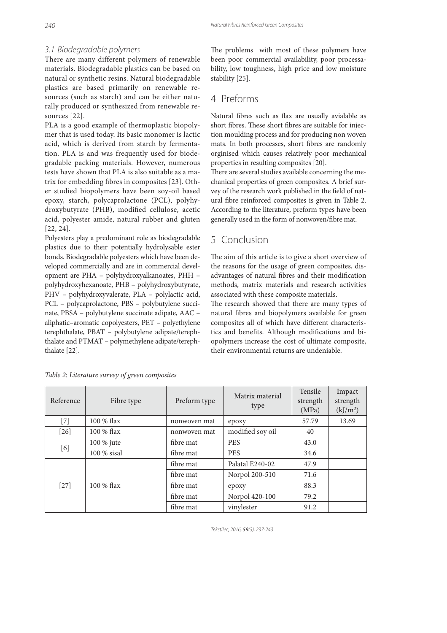### *3.1 Biodegradable polymers*

There are many different polymers of renewable materials. Biodegradable plastics can be based on natural or synthetic resins. Natural biodegradable plastics are based primarily on renewable resources (such as starch) and can be either naturally produced or synthesized from renewable resources [22].

PLA is a good example of thermoplastic biopolymer that is used today. Its basic monomer is lactic acid, which is derived from starch by fermentation. PLA is and was frequently used for biodegradable packing materials. However, numerous tests have shown that PLA is also suitable as a matrix for embedding fibres in composites [23]. Other studied biopolymers have been soy-oil based epoxy, starch, polycaprolactone (PCL), polyhydroxybutyrate (PHB), modified cellulose, acetic acid, polyester amide, natural rubber and gluten [22, 24].

Polyesters play a predominant role as biodegradable plastics due to their potentially hydrolysable ester bonds. Biodegradable polyesters which have been developed commercially and are in commercial development are PHA – polyhydroxyalkanoates, PHH – polyhydroxyhexanoate, PHB – polyhydroxybutyrate, PHV – polyhydroxyvalerate, PLA – polylactic acid, PCL – polycaprolactone, PBS – polybutylene succinate, PBSA – polybutylene succinate adipate, AAC – aliphatic–aromatic copolyesters, PET – polyethylene terephthalate, PBAT – polybutylene adipate/terephthalate and PTMAT – polymethylene adipate/terephthalate [22].

The problems with most of these polymers have been poor commercial availability, poor processability, low toughness, high price and low moisture stability [25].

### 4 Preforms

Natural fibres such as flax are usually avialable as short fibres. These short fibres are suitable for injection moulding process and for producing non woven mats. In both processes, short fibres are randomly orginised which causes relatively poor mechanical properties in resulting composites [20].

There are several studies available concerning the mechanical properties of green composites. A brief survey of the research work published in the field of natural fibre reinforced composites is given in Table 2. According to the literature, preform types have been generally used in the form of nonwoven/fibre mat.

# 5 Conclusion

The aim of this article is to give a short overview of the reasons for the usage of green composites, disadvantages of natural fibres and their modification methods, matrix materials and research activities associated with these composite materials.

The research showed that there are many types of natural fibres and biopolymers available for green composites all of which have different characteristics and benefits. Although modifications and biopolymers increase the cost of ultimate composite, their environmental returns are undeniable.

| Reference | Fibre type    | Preform type | Matrix material<br>type | Tensile<br>strength<br>(MPa) | Impact<br>strength<br>(kJ/m <sup>2</sup> ) |
|-----------|---------------|--------------|-------------------------|------------------------------|--------------------------------------------|
| $[7]$     | $100\%$ flax  | nonwoven mat | epoxy                   | 57.79                        | 13.69                                      |
| $[26]$    | 100 % flax    | nonwoven mat | modified soy oil        | 40                           |                                            |
| [6]       | 100 % jute    | fibre mat    | <b>PES</b>              | 43.0                         |                                            |
|           | 100 % sisal   | fibre mat    | <b>PES</b>              | 34.6                         |                                            |
| $[27]$    | $100 \%$ flax | fibre mat    | Palatal E240-02         | 47.9                         |                                            |
|           |               | fibre mat    | Norpol 200-510          | 71.6                         |                                            |
|           |               | fibre mat    | epoxy                   | 88.3                         |                                            |
|           |               | fibre mat    | Norpol 420-100          | 79.2                         |                                            |
|           |               | fibre mat    | vinylester              | 91.2                         |                                            |

Table 2: Literature survey of green composites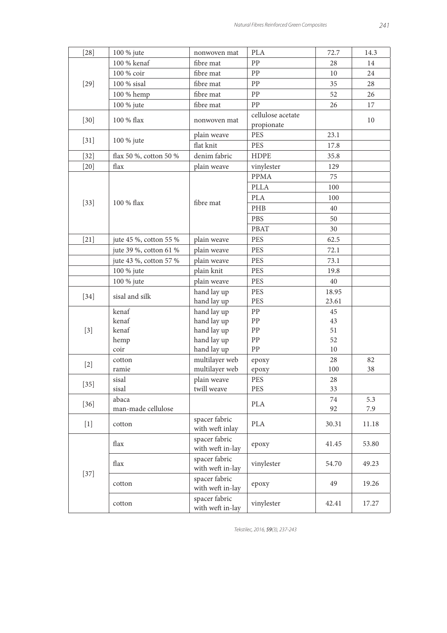| $[28]$ | 100 % jute                  | nonwoven mat                      | <b>PLA</b>                      | 72.7     | 14.3       |
|--------|-----------------------------|-----------------------------------|---------------------------------|----------|------------|
| $[29]$ | 100 % kenaf                 | fibre mat                         | PP                              | 28       | 14         |
|        | 100 % coir                  | fibre mat                         | PP                              | 10       | 24         |
|        | 100 % sisal                 | fibre mat                         | PP                              | 35       | 28         |
|        | 100 % hemp                  | fibre mat                         | PP                              | 52       | 26         |
|        | 100 % jute                  | fibre mat                         | PP                              | 26       | 17         |
| $[30]$ | 100 % flax                  | nonwoven mat                      | cellulose acetate<br>propionate |          | 10         |
| $[31]$ | 100 % jute                  | plain weave                       | <b>PES</b>                      | 23.1     |            |
|        |                             | flat knit                         | <b>PES</b>                      | 17.8     |            |
| $[32]$ | flax 50 %, cotton 50 %      | denim fabric                      | <b>HDPE</b>                     | 35.8     |            |
| $[20]$ | flax                        | plain weave                       | vinylester                      | 129      |            |
|        |                             |                                   | <b>PPMA</b>                     | 75       |            |
|        |                             |                                   | <b>PLLA</b>                     | 100      |            |
|        |                             |                                   | PLA                             | 100      |            |
| $[33]$ | 100 % flax                  | fibre mat                         | PHB                             | 40       |            |
|        |                             |                                   | <b>PBS</b>                      | 50       |            |
|        |                             |                                   | <b>PBAT</b>                     | 30       |            |
| $[21]$ | jute 45 %, cotton 55 %      | plain weave                       | PES                             | 62.5     |            |
|        | jute 39 %, cotton 61 %      | plain weave                       | PES                             | 72.1     |            |
|        | jute 43 %, cotton 57 %      | plain weave                       | PES                             | 73.1     |            |
|        | 100 % jute                  | plain knit                        | PES                             | 19.8     |            |
|        | 100 % jute                  | plain weave                       | <b>PES</b>                      | 40       |            |
| $[34]$ | sisal and silk              | hand lay up                       | <b>PES</b>                      | 18.95    |            |
|        |                             | hand lay up                       | <b>PES</b>                      | 23.61    |            |
|        | kenaf                       | hand lay up                       | PP                              | 45       |            |
|        | kenaf                       | hand lay up                       | ${\rm PP}$                      | 43       |            |
| $[3]$  | kenaf                       | hand lay up                       | PP                              | 51       |            |
|        | hemp                        | hand lay up                       | PP                              | 52       |            |
|        | coir                        | hand lay up                       | ${\rm PP}$                      | $10\,$   |            |
| $[2]$  | cotton                      | multilayer web                    | epoxy                           | 28       | 82         |
|        | ramie                       | multilayer web                    | epoxy                           | 100      | 38         |
| $[35]$ | sisal                       | plain weave                       | PES                             | 28       |            |
|        | sisal                       | twill weave                       | PES                             | 33       |            |
| $[36]$ | abaca<br>man-made cellulose |                                   | <b>PLA</b>                      | 74<br>92 | 5.3<br>7.9 |
| $[1]$  | cotton                      | spacer fabric<br>with weft inlay  | <b>PLA</b>                      | 30.31    | 11.18      |
| $[37]$ | flax                        | spacer fabric<br>with weft in-lay | epoxy                           | 41.45    | 53.80      |
|        | flax                        | spacer fabric<br>with weft in-lay | vinylester                      | 54.70    | 49.23      |
|        | cotton                      | spacer fabric<br>with weft in-lay | epoxy                           | 49       | 19.26      |
|        | cotton                      | spacer fabric<br>with weft in-lay | vinylester                      | 42.41    | 17.27      |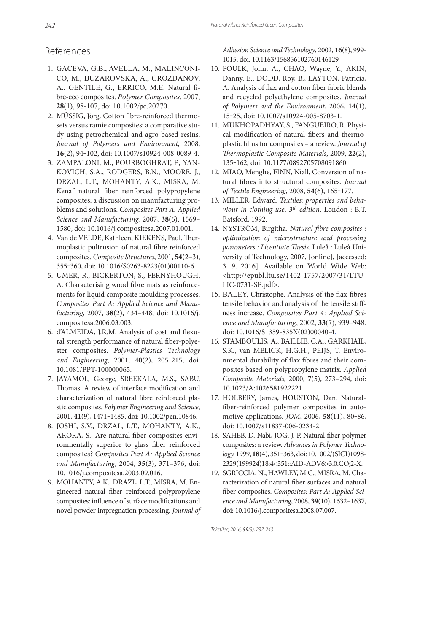### References

- 1. GACEVA, G.B., AVELLA, M., MALINCONI-CO, M., BUZAROVSKA, A., GROZDANOV, A., GENTILE, G., ERRICO, M.E. Natural fibre-eco composites. *Polymer Composites*, 2007, **28**(1), 98-107, doi 10.1002/pc.20270.
- 2. MÜSSIG, Jörg. Cotton fibre-reinforced thermosets versus ramie composites: a comparative study using petrochemical and agro-based resins. Journal of Polymers and Environment, 2008, **16**(2), 94‒102, doi: 10.1007/s10924-008-0089-4.
- 3. ZAMPALONI, M., POURBOGHRAT, F., YAN-KOVICH, S.A., RODGERS, B.N., MOORE, J., DRZAL, L.T., MOHANTY, A.K., MISRA, M. Kenaf natural fiber reinforced polypropylene composites: a discussion on manufacturing problems and solutions. Composites Part A: Applied Science and Manufacturing, 2007, **38**(6), 1569– 1580, doi: 10.1016/j.compositesa.2007.01.001.
- 4. Van de VELDE, Kathleen, KIEKENS, Paul. Thermoplastic pultrusion of natural fibre reinforced composites. Composite Structures, 2001, **54**(2–3), 355‒360, doi: 10.1016/S0263-8223(01)00110-6.
- 5. UMER, R., BICKERTON, S., FERNYHOUGH, A. Characterising wood fibre mats as reinforcements for liquid composite moulding processes. Composites Part A: Applied Science and Manufacturing, 2007, **38**(2), 434–448, doi: 10.1016/j. compositesa.2006.03.003.
- 6. d'ALMEIDA, J.R.M. Analysis of cost and flexural strength performance of natural fiber-polyester composites. Polymer-Plastics Technology and Engineering, 2001, 40(2), 205-215, doi: 10.1081/PPT-100000065.
- 7. JAYAMOL, George, SREEKALA, M.S., SABU, Thomas. A review of interface modification and characterization of natural fibre reinforced plastic composites. Polymer Engineering and Science, 2001, **41**(9), 1471‒1485, doi: 10.1002/pen.10846.
- 8. JOSHI, S.V., DRZAL, L.T., MOHANTY, A.K., ARORA, S., Are natural fiber composites environmentally superior to glass fiber reinforced composites? Composites Part A: Applied Science and Manufacturing, 2004, **35**(3), 371–376, doi: 10.1016/j.compositesa.2003.09.016.
- 9. MOHANTY, A.K., DRAZL, L.T., MISRA, M. Engineered natural ber reinforced polypropylene composites: influence of surface modifications and novel powder impregnation processing. Journal of

Adhesion Science and Technology, 2002, **16**(8), 999- 1015, doi. 10.1163/156856102760146129

- 10. FOULK, Jonn, A., CHAO, Wayne, Y., AKIN, Danny, E., DODD, Roy, B., LAYTON, Patricia, A. Analysis of flax and cotton fiber fabric blends and recycled polyethylene composites. Journal of Polymers and the Environment, 2006, **14**(1), 15‒25, doi: 10.1007/s10924-005-8703-1.
- 11. MUKHOPADHYAY, S., FANGUEIRO, R. Physical modification of natural fibers and thermoplastic films for composites - a review. Journal of Thermoplastic Composite Materials, 2009, 22(2), 135‒162, doi: 10.1177/0892705708091860.
- 12. MIAO, Menghe, FINN, Niall, Conversion of natural fibres into structural composites. Journal of Textile Engineering, 2008, **54**(6), 165‒177.
- 13. MILLER, Edward. Textiles: properties and behaviour in clothing use.  $3^{th}$  edition. London : B.T. Batsford, 1992.
- 14. NYSTRÖM, Birgitha. Natural fibre composites : optimization of microstructure and processing parameters : Licentiate Thesis. Luleå : Luleå University of Technology, 2007, [online], [accessed: 3. 9. 2016]. Available on World Wide Web: <http://epubl.ltu.se/1402-1757/2007/31/LTU-LIC-0731-SE.pdf>.
- 15. BALEY, Christophe. Analysis of the flax fibres tensile behavior and analysis of the tensile stiffness increase. *Composites Part A: Applied Science and Manufacturing*, 2002, **33**(7), 939–948. doi: 10.1016/S1359-835X(02)00040-4.
- 16. STAMBOULIS, A., BAILLIE, C.A., GARKHAIL, S.K., van MELICK, H.G.H., PEIJS, T. Environmental durability of flax fibres and their composites based on polypropylene matrix. Applied Composite Materials, 2000, **7**(5), 273–294, doi: 10.1023/A:1026581922221.
- 17. HOLBERY, James, HOUSTON, Dan. Natural ber-reinforced polymer composites in automotive applications. JOM, 2006, **58**(11), 80‒86, doi: 10.1007/s11837-006-0234-2.
- 18. SAHEB, D. Nabi, JOG, J. P. Natural fiber polymer composites: a review. Advances in Polymer Technology, 1999, **18**(4), 351‒363, doi: 10.1002/(SICI)1098- 2329(199924)18:4<351::AID-ADV6>3.0.CO;2-X.
- 19. SGRICCIA, N., HAWLEY, M.C., MISRA, M. Characterization of natural fiber surfaces and natural ber composites. Composites: Part A: Applied Science and Manufacturing, 2008, **39**(10), 1632–1637, doi: 10.1016/j.compositesa.2008.07.007.